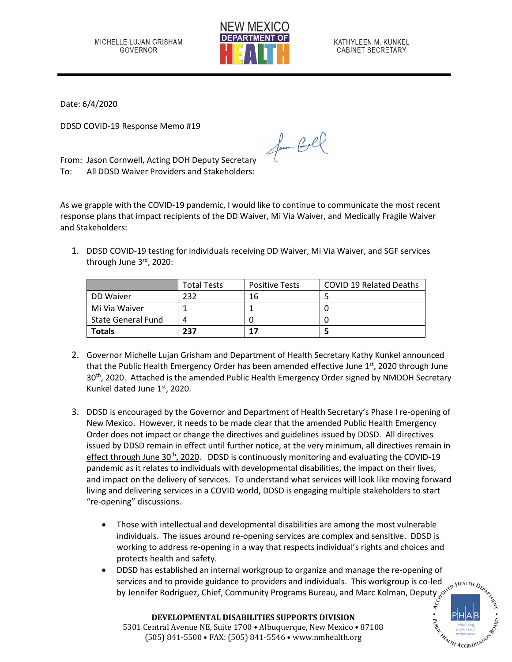

KATHYLEEN M. KUNKEL **CABINET SECRETARY** 

Date: 6/4/2020

DDSD COVID-19 Response Memo #19

From: Jason Cornwell, Acting DOH Deputy Secretary To: All DDSD Waiver Providers and Stakeholders:

As we grapple with the COVID-19 pandemic, I would like to continue to communicate the most recent response plans that impact recipients of the DD Waiver, Mi Via Waiver, and Medically Fragile Waiver and Stakeholders:

for Cool

1. DDSD COVID-19 testing for individuals receiving DD Waiver, Mi Via Waiver, and SGF services through June 3rd, 2020:

|                           | <b>Total Tests</b> | <b>Positive Tests</b> | <b>COVID 19 Related Deaths</b> |
|---------------------------|--------------------|-----------------------|--------------------------------|
| DD Waiver                 | 232                | 16                    |                                |
| Mi Via Waiver             |                    |                       |                                |
| <b>State General Fund</b> |                    |                       |                                |
| <b>Totals</b>             | 237                | 17                    |                                |

- 2. Governor Michelle Lujan Grisham and Department of Health Secretary Kathy Kunkel announced that the Public Health Emergency Order has been amended effective June  $1<sup>st</sup>$ , 2020 through June 30<sup>th</sup>, 2020. Attached is the amended Public Health Emergency Order signed by NMDOH Secretary Kunkel dated June 1<sup>st</sup>, 2020.
- 3. DDSD is encouraged by the Governor and Department of Health Secretary's Phase I re-opening of New Mexico. However, it needs to be made clear that the amended Public Health Emergency Order does not impact or change the directives and guidelines issued by DDSD. All directives issued by DDSD remain in effect until further notice, at the very minimum, all directives remain in effect through June  $30<sup>th</sup>$ , 2020. DDSD is continuously monitoring and evaluating the COVID-19 pandemic as it relates to individuals with developmental disabilities, the impact on their lives, and impact on the delivery of services. To understand what services will look like moving forward living and delivering services in a COVID world, DDSD is engaging multiple stakeholders to start "re-opening" discussions.
	- Those with intellectual and developmental disabilities are among the most vulnerable individuals. The issues around re-opening services are complex and sensitive. DDSD is working to address re-opening in a way that respects individual's rights and choices and protects health and safety.
	- DDSD has established an internal workgroup to organize and manage the re-opening of services and to provide guidance to providers and individuals. This workgroup is co-led by Jennifer Rodriguez, Chief, Community Programs Bureau, and Marc Kolman, Deputy

**MEALTH ACCREDITATIC** 

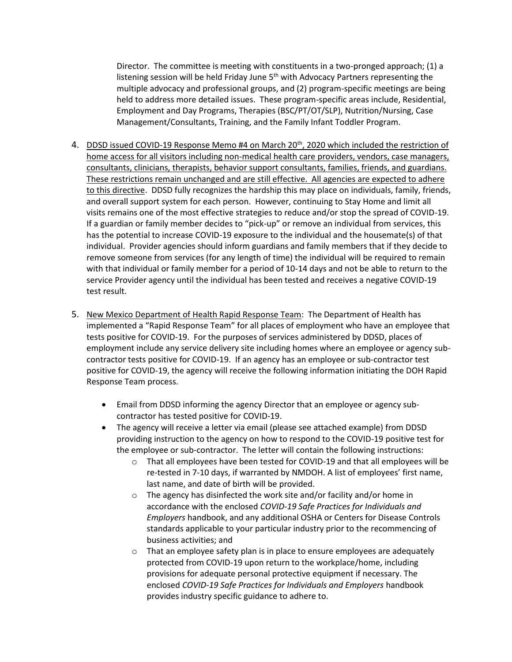Director. The committee is meeting with constituents in a two-pronged approach; (1) a listening session will be held Friday June  $5<sup>th</sup>$  with Advocacy Partners representing the multiple advocacy and professional groups, and (2) program-specific meetings are being held to address more detailed issues. These program-specific areas include, Residential, Employment and Day Programs, Therapies (BSC/PT/OT/SLP), Nutrition/Nursing, Case Management/Consultants, Training, and the Family Infant Toddler Program.

- 4. DDSD issued COVID-19 Response Memo #4 on March 20<sup>th</sup>, 2020 which included the restriction of home access for all visitors including non-medical health care providers, vendors, case managers, consultants, clinicians, therapists, behavior support consultants, families, friends, and guardians. These restrictions remain unchanged and are still effective. All agencies are expected to adhere to this directive. DDSD fully recognizes the hardship this may place on individuals, family, friends, and overall support system for each person. However, continuing to Stay Home and limit all visits remains one of the most effective strategies to reduce and/or stop the spread of COVID-19. If a guardian or family member decides to "pick-up" or remove an individual from services, this has the potential to increase COVID-19 exposure to the individual and the housemate(s) of that individual. Provider agencies should inform guardians and family members that if they decide to remove someone from services (for any length of time) the individual will be required to remain with that individual or family member for a period of 10-14 days and not be able to return to the service Provider agency until the individual has been tested and receives a negative COVID-19 test result.
- 5. New Mexico Department of Health Rapid Response Team: The Department of Health has implemented a "Rapid Response Team" for all places of employment who have an employee that tests positive for COVID-19. For the purposes of services administered by DDSD, places of employment include any service delivery site including homes where an employee or agency subcontractor tests positive for COVID-19. If an agency has an employee or sub-contractor test positive for COVID-19, the agency will receive the following information initiating the DOH Rapid Response Team process.
	- Email from DDSD informing the agency Director that an employee or agency subcontractor has tested positive for COVID-19.
	- The agency will receive a letter via email (please see attached example) from DDSD providing instruction to the agency on how to respond to the COVID-19 positive test for the employee or sub-contractor. The letter will contain the following instructions:
		- o That all employees have been tested for COVID-19 and that all employees will be re-tested in 7-10 days, if warranted by NMDOH. A list of employees' first name, last name, and date of birth will be provided.
		- o The agency has disinfected the work site and/or facility and/or home in accordance with the enclosed *COVID-19 Safe Practices for Individuals and Employers* handbook, and any additional OSHA or Centers for Disease Controls standards applicable to your particular industry prior to the recommencing of business activities; and
		- o That an employee safety plan is in place to ensure employees are adequately protected from COVID-19 upon return to the workplace/home, including provisions for adequate personal protective equipment if necessary. The enclosed *COVID-19 Safe Practices for Individuals and Employers* handbook provides industry specific guidance to adhere to.